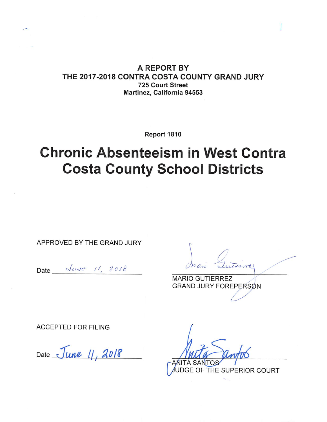A REPORT BY THE 2017-2018 CONTRA COSTA COUNTY GRAND JURY 725 Court Street Martinez, California 94553

Report 1810

# **Chronic Absenteeism in West Contra Costa County School Districts**

APPROVED BY THE GRAND JURY

Date JUNE 11, 2018

**MARIO GUTIERREZ** GRAND JURY FOREPERSON

**ACCEPTED FOR FILING** 

Date June 11, 2018

A SANTO

JDGE OF THE SUPERIOR COURT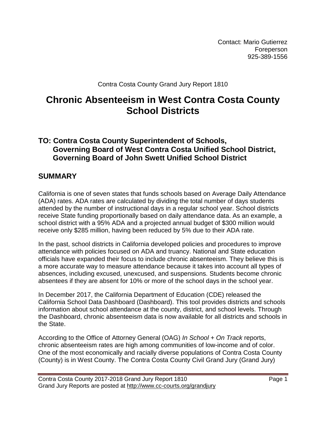Contact: Mario Gutierrez Foreperson 925-389-1556

Contra Costa County Grand Jury Report 1810

## **Chronic Absenteeism in West Contra Costa County School Districts**

### **TO: Contra Costa County Superintendent of Schools, Governing Board of West Contra Costa Unified School District, Governing Board of John Swett Unified School District**

### **SUMMARY**

California is one of seven states that funds schools based on Average Daily Attendance (ADA) rates. ADA rates are calculated by dividing the total number of days students attended by the number of instructional days in a regular school year. School districts receive State funding proportionally based on daily attendance data. As an example, a school district with a 95% ADA and a projected annual budget of \$300 million would receive only \$285 million, having been reduced by 5% due to their ADA rate.

In the past, school districts in California developed policies and procedures to improve attendance with policies focused on ADA and truancy. National and State education officials have expanded their focus to include chronic absenteeism. They believe this is a more accurate way to measure attendance because it takes into account all types of absences, including excused, unexcused, and suspensions. Students become chronic absentees if they are absent for 10% or more of the school days in the school year.

In December 2017, the California Department of Education (CDE) released the California School Data Dashboard (Dashboard). This tool provides districts and schools information about school attendance at the county, district, and school levels. Through the Dashboard, chronic absenteeism data is now available for all districts and schools in the State.

According to the Office of Attorney General (OAG) *In School + On Track* reports, chronic absenteeism rates are high among communities of low-income and of color. One of the most economically and racially diverse populations of Contra Costa County (County) is in West County. The Contra Costa County Civil Grand Jury (Grand Jury)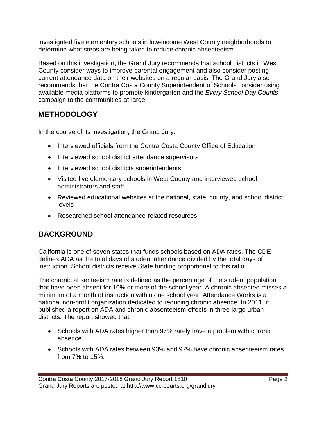investigated five elementary schools in low-income West County neighborhoods to determine what steps are being taken to reduce chronic absenteeism.

Based on this investigation, the Grand Jury recommends that school districts in West County consider ways to improve parental engagement and also consider posting current attendance data on their websites on a regular basis. The Grand Jury also recommends that the Contra Costa County Superintendent of Schools consider using available media platforms to promote kindergarten and the *Every School Day Counts* campaign to the communities-at-large.

## **METHODOLOGY**

In the course of its investigation, the Grand Jury:

- Interviewed officials from the Contra Costa County Office of Education
- Interviewed school district attendance supervisors
- Interviewed school districts superintendents
- Visited five elementary schools in West County and interviewed school administrators and staff
- Reviewed educational websites at the national, state, county, and school district levels
- Researched school attendance-related resources

## **BACKGROUND**

California is one of seven states that funds schools based on ADA rates. The CDE defines ADA as the total days of student attendance divided by the total days of instruction. School districts receive State funding proportional to this ratio.

The chronic absenteeism rate is defined as the percentage of the student population that have been absent for 10% or more of the school year. A chronic absentee misses a minimum of a month of instruction within one school year. Attendance Works is a national non-profit organization dedicated to reducing chronic absence. In 2011, it published a report on ADA and chronic absenteeism effects in three large urban districts. The report showed that:

- Schools with ADA rates higher than 97% rarely have a problem with chronic absence.
- Schools with ADA rates between 93% and 97% have chronic absenteeism rates from 7% to 15%.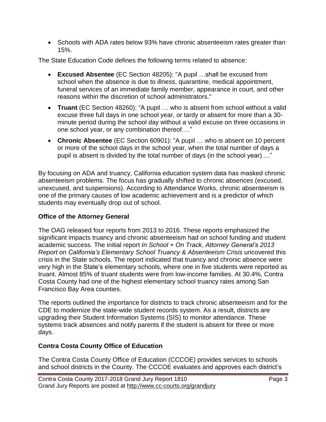• Schools with ADA rates below 93% have chronic absenteeism rates greater than 15%.

The State Education Code defines the following terms related to absence:

- **Excused Absentee** (EC Section 48205): "A pupil …shall be excused from school when the absence is due to illness, quarantine, medical appointment, funeral services of an immediate family member, appearance in court, and other reasons within the discretion of school administrators."
- **Truant** (EC Section 48260): "A pupil … who is absent from school without a valid excuse three full days in one school year, or tardy or absent for more than a 30 minute period during the school day without a valid excuse on three occasions in one school year, or any combination thereof…."
- **Chronic Absentee** (EC Section 60901): "A pupil … who is absent on 10 percent or more of the school days in the school year, when the total number of days a pupil is absent is divided by the total number of days (in the school year)…."

By focusing on ADA and truancy, California education system data has masked chronic absenteeism problems. The focus has gradually shifted to chronic absences (excused, unexcused, and suspensions). According to Attendance Works, chronic absenteeism is one of the primary causes of low academic achievement and is a predictor of which students may eventually drop out of school.

### **Office of the Attorney General**

The OAG released four reports from 2013 to 2016. These reports emphasized the significant impacts truancy and chronic absenteeism had on school funding and student academic success. The initial report *In School + On Track*, *Attorney General's 2013 Report on California's Elementary School Truancy & Absenteeism Crisis* uncovered this crisis in the State schools. The report indicated that truancy and chronic absence were very high in the State's elementary schools, where one in five students were reported as truant. Almost 85% of truant students were from low-income families. At 30.4%, Contra Costa County had one of the highest elementary school truancy rates among San Francisco Bay Area counties.

The reports outlined the importance for districts to track chronic absenteeism and for the CDE to modernize the state-wide student records system. As a result, districts are upgrading their Student Information Systems (SIS) to monitor attendance. These systems track absences and notify parents if the student is absent for three or more days.

### **Contra Costa County Office of Education**

The Contra Costa County Office of Education (CCCOE) provides services to schools and school districts in the County. The CCCOE evaluates and approves each district's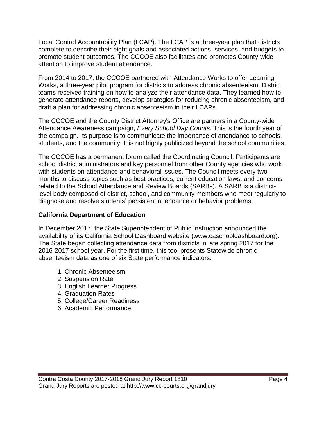Local Control Accountability Plan (LCAP). The LCAP is a three-year plan that districts complete to describe their eight goals and associated actions, services, and budgets to promote student outcomes. The CCCOE also facilitates and promotes County-wide attention to improve student attendance.

From 2014 to 2017, the CCCOE partnered with Attendance Works to offer Learning Works, a three-year pilot program for districts to address chronic absenteeism. District teams received training on how to analyze their attendance data. They learned how to generate attendance reports, develop strategies for reducing chronic absenteeism, and draft a plan for addressing chronic absenteeism in their LCAPs.

The CCCOE and the County District Attorney's Office are partners in a County-wide Attendance Awareness campaign, *Every School Day Counts*. This is the fourth year of the campaign. Its purpose is to communicate the importance of attendance to schools, students, and the community. It is not highly publicized beyond the school communities.

The CCCOE has a permanent forum called the Coordinating Council. Participants are school district administrators and key personnel from other County agencies who work with students on attendance and behavioral issues. The Council meets every two months to discuss topics such as best practices, current education laws, and concerns related to the School Attendance and Review Boards (SARBs). A SARB is a districtlevel body composed of district, school, and community members who meet regularly to diagnose and resolve students' persistent attendance or behavior problems.

### **California Department of Education**

In December 2017, the State Superintendent of Public Instruction announced the availability of its California School Dashboard website (www.caschooldashboard.org). The State began collecting attendance data from districts in late spring 2017 for the 2016-2017 school year. For the first time, this tool presents Statewide chronic absenteeism data as one of six State performance indicators:

- 1. Chronic Absenteeism
- 2. Suspension Rate
- 3. English Learner Progress
- 4. Graduation Rates
- 5. College/Career Readiness
- 6. Academic Performance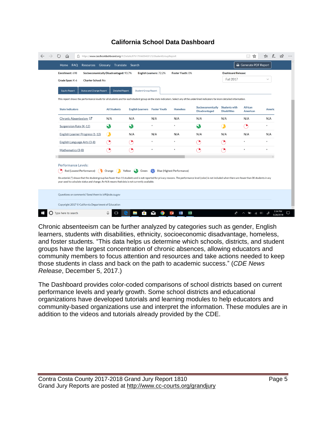| Enrollment: 698                                                                                                                                                                      | Socioeconomically Disadvantaged: 93.7% |                                                | <b>English Learners: 72.2%</b> | Foster Youth: 0% |                                           | <b>Dashboard Release:</b>                   |                     |              |  |
|--------------------------------------------------------------------------------------------------------------------------------------------------------------------------------------|----------------------------------------|------------------------------------------------|--------------------------------|------------------|-------------------------------------------|---------------------------------------------|---------------------|--------------|--|
| Grade Span: K-6<br><b>Charter School: No</b>                                                                                                                                         |                                        |                                                |                                |                  |                                           | <b>Fall 2017</b>                            |                     | $\checkmark$ |  |
|                                                                                                                                                                                      |                                        |                                                |                                |                  |                                           |                                             |                     |              |  |
| <b>Status and Change Report</b><br><b>Equity Report</b>                                                                                                                              | <b>Detailed Report</b>                 | <b>Student Group Report</b>                    |                                |                  |                                           |                                             |                     |              |  |
| This report shows the performance levels for all students and for each student group on the state indicators. Select any of the underlined indicators for more detailed information. |                                        |                                                |                                |                  |                                           |                                             |                     |              |  |
| <b>State Indicators</b>                                                                                                                                                              | <b>All Students</b>                    | <b>English Learners Foster Youth</b>           |                                | <b>Homeless</b>  | Socioeconomically<br><b>Disadvantaged</b> | <b>Students with</b><br><b>Disabilities</b> | African<br>American | Americ       |  |
| Chronic Absenteeism C                                                                                                                                                                | N/A                                    | N/A                                            | N/A                            | N/A              | N/A                                       | N/A                                         | N/A                 | N/A          |  |
| Suspension Rate (K-12)                                                                                                                                                               | $\Omega$                               | $\boldsymbol{\mathcal{R}}$                     | $\ast$                         | $\star$          | $\boldsymbol{\mathcal{R}}$                | G                                           | G                   | $\star$      |  |
| English Learner Progress (1-12)                                                                                                                                                      | $\bullet$                              | N/A                                            | N/A                            | N/A              | N/A                                       | N/A                                         | N/A                 | N/A          |  |
| English Language Arts (3-8)                                                                                                                                                          | Ð                                      | œ                                              | $\ast$                         | $\ast$           | P,                                        | P                                           | $\star$             | ×            |  |
| Mathematics (3-8)                                                                                                                                                                    | ™,                                     | œ                                              | ۰                              | $\ast$           | P,                                        | B                                           |                     | ×            |  |
| <b>Performance Levels:</b><br>Red (Lowest Performance)                                                                                                                               |                                        | Orange Yellow Green Blue (Highest Performance) |                                |                  |                                           |                                             |                     |              |  |

### **California School Data Dashboard**

Chronic absenteeism can be further analyzed by categories such as gender, English learners, students with disabilities, ethnicity, socioeconomic disadvantage, homeless, and foster students. "This data helps us determine which schools, districts, and student groups have the largest concentration of chronic absences, allowing educators and community members to focus attention and resources and take actions needed to keep those students in class and back on the path to academic success." (*CDE News Release*, December 5, 2017.)

The Dashboard provides color-coded comparisons of school districts based on current performance levels and yearly growth. Some school districts and educational organizations have developed tutorials and learning modules to help educators and community-based organizations use and interpret the information. These modules are in addition to the videos and tutorials already provided by the CDE.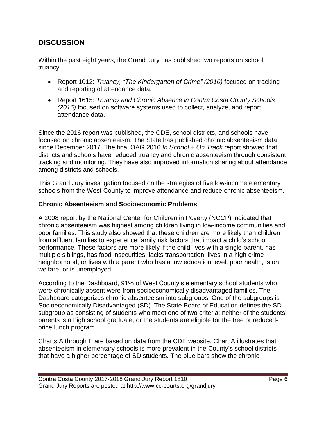## **DISCUSSION**

Within the past eight years, the Grand Jury has published two reports on school truancy:

- Report 1012: *Truancy, "The Kindergarten of Crime" (2010)* focused on tracking and reporting of attendance data.
- Report 1615: *Truancy and Chronic Absence in Contra Costa County Schools (2016)* focused on software systems used to collect, analyze, and report attendance data.

Since the 2016 report was published, the CDE, school districts, and schools have focused on chronic absenteeism. The State has published chronic absenteeism data since December 2017. The final OAG 2016 *In School + On Track* report showed that districts and schools have reduced truancy and chronic absenteeism through consistent tracking and monitoring. They have also improved information sharing about attendance among districts and schools.

This Grand Jury investigation focused on the strategies of five low-income elementary schools from the West County to improve attendance and reduce chronic absenteeism.

### **Chronic Absenteeism and Socioeconomic Problems**

A 2008 report by the National Center for Children in Poverty (NCCP) indicated that chronic absenteeism was highest among children living in low-income communities and poor families. This study also showed that these children are more likely than children from affluent families to experience family risk factors that impact a child's school performance. These factors are more likely if the child lives with a single parent, has multiple siblings, has food insecurities, lacks transportation, lives in a high crime neighborhood, or lives with a parent who has a low education level, poor health, is on welfare, or is unemployed.

According to the Dashboard, 91% of West County's elementary school students who were chronically absent were from socioeconomically disadvantaged families. The Dashboard categorizes chronic absenteeism into subgroups. One of the subgroups is Socioeconomically Disadvantaged (SD). The State Board of Education defines the SD subgroup as consisting of students who meet one of two criteria: neither of the students' parents is a high school graduate, or the students are eligible for the free or reducedprice lunch program.

Charts A through E are based on data from the CDE website. Chart A illustrates that absenteeism in elementary schools is more prevalent in the County's school districts that have a higher percentage of SD students. The blue bars show the chronic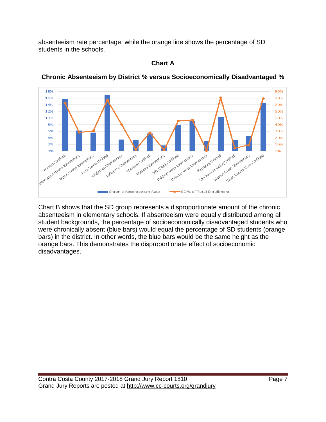absenteeism rate percentage, while the orange line shows the percentage of SD students in the schools.



### **Chronic Absenteeism by District % versus Socioeconomically Disadvantaged %**

**Chart A**

Chart B shows that the SD group represents a disproportionate amount of the chronic absenteeism in elementary schools. If absenteeism were equally distributed among all student backgrounds, the percentage of socioeconomically disadvantaged students who were chronically absent (blue bars) would equal the percentage of SD students (orange bars) in the district. In other words, the blue bars would be the same height as the orange bars. This demonstrates the disproportionate effect of socioeconomic disadvantages.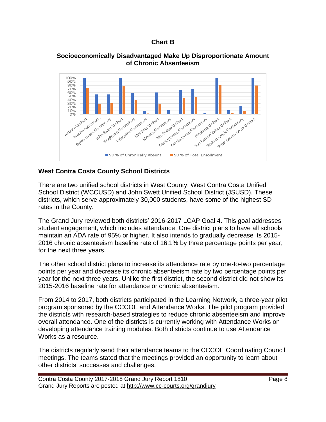### **Chart B**

### **Socioeconomically Disadvantaged Make Up Disproportionate Amount of Chronic Absenteeism**



### **West Contra Costa County School Districts**

There are two unified school districts in West County: West Contra Costa Unified School District (WCCUSD) and John Swett Unified School District (JSUSD). These districts, which serve approximately 30,000 students, have some of the highest SD rates in the County.

The Grand Jury reviewed both districts' 2016-2017 LCAP Goal 4. This goal addresses student engagement, which includes attendance. One district plans to have all schools maintain an ADA rate of 95% or higher. It also intends to gradually decrease its 2015- 2016 chronic absenteeism baseline rate of 16.1% by three percentage points per year, for the next three years.

The other school district plans to increase its attendance rate by one-to-two percentage points per year and decrease its chronic absenteeism rate by two percentage points per year for the next three years. Unlike the first district, the second district did not show its 2015-2016 baseline rate for attendance or chronic absenteeism.

From 2014 to 2017, both districts participated in the Learning Network, a three-year pilot program sponsored by the CCCOE and Attendance Works. The pilot program provided the districts with research-based strategies to reduce chronic absenteeism and improve overall attendance. One of the districts is currently working with Attendance Works on developing attendance training modules. Both districts continue to use Attendance Works as a resource.

The districts regularly send their attendance teams to the CCCOE Coordinating Council meetings. The teams stated that the meetings provided an opportunity to learn about other districts' successes and challenges.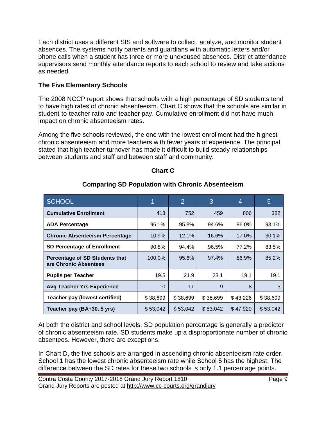Each district uses a different SIS and software to collect, analyze, and monitor student absences. The systems notify parents and guardians with automatic letters and/or phone calls when a student has three or more unexcused absences. District attendance supervisors send monthly attendance reports to each school to review and take actions as needed.

### **The Five Elementary Schools**

The 2008 NCCP report shows that schools with a high percentage of SD students tend to have high rates of chronic absenteeism. Chart C shows that the schools are similar in student-to-teacher ratio and teacher pay. Cumulative enrollment did not have much impact on chronic absenteeism rates.

Among the five schools reviewed, the one with the lowest enrollment had the highest chronic absenteeism and more teachers with fewer years of experience. The principal stated that high teacher turnover has made it difficult to build steady relationships between students and staff and between staff and community.

| <b>SCHOOL</b>                                           |          | $\overline{2}$ | 3        | 4        | 5        |
|---------------------------------------------------------|----------|----------------|----------|----------|----------|
| <b>Cumulative Enrollment</b>                            | 413      | 752            | 459      | 806      | 382      |
| <b>ADA Percentage</b>                                   | 96.1%    | 95.8%          | 94.6%    | 96.0%    | 93.1%    |
| <b>Chronic Absenteeism Percentage</b>                   | 10.9%    | 12.1%          | 16.6%    | 17.0%    | 30.1%    |
| <b>SD Percentage of Enrollment</b>                      | 90.8%    | 94.4%          | 96.5%    | 77.2%    | 83.5%    |
| Percentage of SD Students that<br>are Chronic Absentees | 100.0%   | 95.6%          | 97.4%    | 86.9%    | 85.2%    |
| <b>Pupils per Teacher</b>                               | 19.5     | 21.9           | 23.1     | 19.1     | 19.1     |
| <b>Avg Teacher Yrs Experience</b>                       | 10       | 11             | 9        | 8        | 5        |
| <b>Teacher pay (lowest certified)</b>                   | \$38,699 | \$38,699       | \$38,699 | \$43,226 | \$38,699 |
| Teacher pay (BA+30, 5 yrs)                              | \$53,042 | \$53,042       | \$53,042 | \$47,920 | \$53,042 |

## **Chart C**

### **Comparing SD Population with Chronic Absenteeism**

At both the district and school levels, SD population percentage is generally a predictor of chronic absenteeism rate. SD students make up a disproportionate number of chronic absentees. However, there are exceptions.

In Chart D, the five schools are arranged in ascending chronic absenteeism rate order. School 1 has the lowest chronic absenteeism rate while School 5 has the highest. The difference between the SD rates for these two schools is only 1.1 percentage points.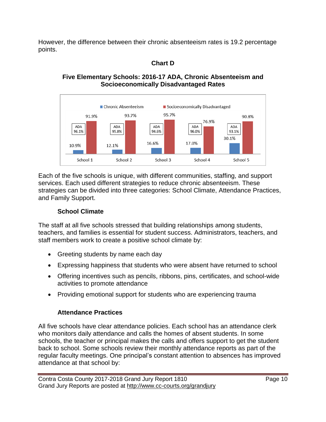However, the difference between their chronic absenteeism rates is 19.2 percentage points.

### **Chart D**

### **Five Elementary Schools: 2016-17 ADA, Chronic Absenteeism and Socioeconomically Disadvantaged Rates**



Each of the five schools is unique, with different communities, staffing, and support services. Each used different strategies to reduce chronic absenteeism. These strategies can be divided into three categories: School Climate, Attendance Practices, and Family Support.

### **School Climate**

The staff at all five schools stressed that building relationships among students, teachers, and families is essential for student success. Administrators, teachers, and staff members work to create a positive school climate by:

- Greeting students by name each day
- Expressing happiness that students who were absent have returned to school
- Offering incentives such as pencils, ribbons, pins, certificates, and school-wide activities to promote attendance
- Providing emotional support for students who are experiencing trauma

### **Attendance Practices**

All five schools have clear attendance policies. Each school has an attendance clerk who monitors daily attendance and calls the homes of absent students. In some schools, the teacher or principal makes the calls and offers support to get the student back to school. Some schools review their monthly attendance reports as part of the regular faculty meetings. One principal's constant attention to absences has improved attendance at that school by: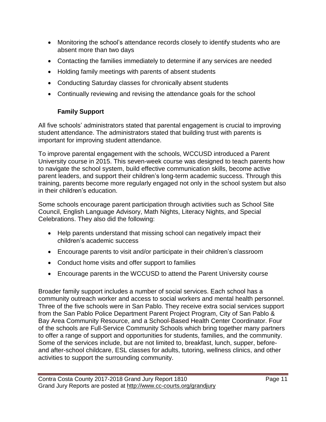- Monitoring the school's attendance records closely to identify students who are absent more than two days
- Contacting the families immediately to determine if any services are needed
- Holding family meetings with parents of absent students
- Conducting Saturday classes for chronically absent students
- Continually reviewing and revising the attendance goals for the school

## **Family Support**

All five schools' administrators stated that parental engagement is crucial to improving student attendance. The administrators stated that building trust with parents is important for improving student attendance.

To improve parental engagement with the schools, WCCUSD introduced a Parent University course in 2015. This seven-week course was designed to teach parents how to navigate the school system, build effective communication skills, become active parent leaders, and support their children's long-term academic success. Through this training, parents become more regularly engaged not only in the school system but also in their children's education.

Some schools encourage parent participation through activities such as School Site Council, English Language Advisory, Math Nights, Literacy Nights, and Special Celebrations. They also did the following:

- Help parents understand that missing school can negatively impact their children's academic success
- Encourage parents to visit and/or participate in their children's classroom
- Conduct home visits and offer support to families
- Encourage parents in the WCCUSD to attend the Parent University course

Broader family support includes a number of social services. Each school has a community outreach worker and access to social workers and mental health personnel. Three of the five schools were in San Pablo. They receive extra social services support from the San Pablo Police Department Parent Project Program, City of San Pablo & Bay Area Community Resource, and a School-Based Health Center Coordinator. Four of the schools are Full-Service Community Schools which bring together many partners to offer a range of support and opportunities for students, families, and the community. Some of the services include, but are not limited to, breakfast, lunch, supper, beforeand after-school childcare, ESL classes for adults, tutoring, wellness clinics, and other activities to support the surrounding community.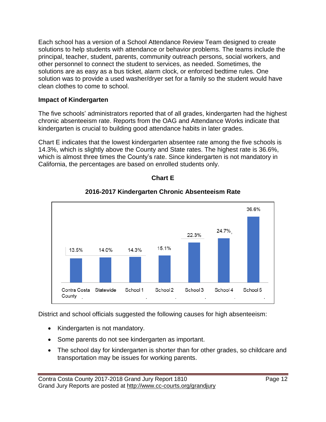Each school has a version of a School Attendance Review Team designed to create solutions to help students with attendance or behavior problems. The teams include the principal, teacher, student, parents, community outreach persons, social workers, and other personnel to connect the student to services, as needed. Sometimes, the solutions are as easy as a bus ticket, alarm clock, or enforced bedtime rules. One solution was to provide a used washer/dryer set for a family so the student would have clean clothes to come to school.

### **Impact of Kindergarten**

The five schools' administrators reported that of all grades, kindergarten had the highest chronic absenteeism rate. Reports from the OAG and Attendance Works indicate that kindergarten is crucial to building good attendance habits in later grades.

Chart E indicates that the lowest kindergarten absentee rate among the five schools is 14.3%, which is slightly above the County and State rates. The highest rate is 36.6%, which is almost three times the County's rate. Since kindergarten is not mandatory in California, the percentages are based on enrolled students only.



### **Chart E**

### **2016-2017 Kindergarten Chronic Absenteeism Rate**

District and school officials suggested the following causes for high absenteeism:

- Kindergarten is not mandatory.
- Some parents do not see kindergarten as important.
- The school day for kindergarten is shorter than for other grades, so childcare and transportation may be issues for working parents.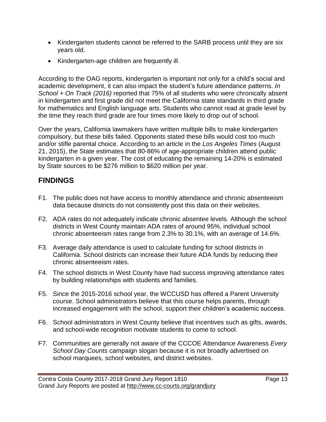- Kindergarten students cannot be referred to the SARB process until they are six years old.
- Kindergarten-age children are frequently ill.

According to the OAG reports, kindergarten is important not only for a child's social and academic development, it can also impact the student's future attendance patterns. *In School + On Track (2016)* reported that 75% of all students who were chronically absent in kindergarten and first grade did not meet the California state standards in third grade for mathematics and English language arts. Students who cannot read at grade level by the time they reach third grade are four times more likely to drop out of school.

Over the years, California lawmakers have written multiple bills to make kindergarten compulsory, but these bills failed. Opponents stated these bills would cost too much and/or stifle parental choice. According to an article in the *Los Angeles Times* (August 21, 2015), the State estimates that 80-86% of age-appropriate children attend public kindergarten in a given year. The cost of educating the remaining 14-20% is estimated by State sources to be \$276 million to \$620 million per year.

## **FINDINGS**

- F1. The public does not have access to monthly attendance and chronic absenteeism data because districts do not consistently post this data on their websites.
- F2. ADA rates do not adequately indicate chronic absentee levels. Although the school districts in West County maintain ADA rates of around 95%, individual school chronic absenteeism rates range from 2.3% to 30.1%, with an average of 14.6%.
- F3. Average daily attendance is used to calculate funding for school districts in California. School districts can increase their future ADA funds by reducing their chronic absenteeism rates.
- F4. The school districts in West County have had success improving attendance rates by building relationships with students and families.
- F5. Since the 2015-2016 school year, the WCCUSD has offered a Parent University course. School administrators believe that this course helps parents, through increased engagement with the school, support their children's academic success.
- F6. School administrators in West County believe that incentives such as gifts, awards, and school-wide recognition motivate students to come to school.
- F7. Communities are generally not aware of the CCCOE Attendance Awareness *Every School Day Counts* campaign slogan because it is not broadly advertised on school marquees, school websites, and district websites.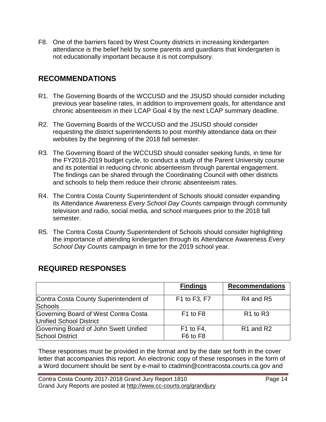F8. One of the barriers faced by West County districts in increasing kindergarten attendance is the belief held by some parents and guardians that kindergarten is not educationally important because it is not compulsory.

## **RECOMMENDATIONS**

- R1. The Governing Boards of the WCCUSD and the JSUSD should consider including previous year baseline rates, in addition to improvement goals, for attendance and chronic absenteeism in their LCAP Goal 4 by the next LCAP summary deadline.
- R2. The Governing Boards of the WCCUSD and the JSUSD should consider requesting the district superintendents to post monthly attendance data on their websites by the beginning of the 2018 fall semester.
- R3. The Governing Board of the WCCUSD should consider seeking funds, in time for the FY2018-2019 budget cycle, to conduct a study of the Parent University course and its potential in reducing chronic absenteeism through parental engagement. The findings can be shared through the Coordinating Council with other districts and schools to help them reduce their chronic absenteeism rates.
- R4. The Contra Costa County Superintendent of Schools should consider expanding its Attendance Awareness *Every School Day Counts* campaign through community television and radio, social media, and school marquees prior to the 2018 fall semester.
- R5. The Contra Costa County Superintendent of Schools should consider highlighting the importance of attending kindergarten through its Attendance Awareness *Every School Day Counts* campaign in time for the 2019 school year.

|                                       | <b>Findings</b>                  | <b>Recommendations</b>            |
|---------------------------------------|----------------------------------|-----------------------------------|
| Contra Costa County Superintendent of | F1 to F3, F7                     | R <sub>4</sub> and R <sub>5</sub> |
| <b>Schools</b>                        |                                  |                                   |
| Governing Board of West Contra Costa  | F <sub>1</sub> to F <sub>8</sub> | R <sub>1</sub> to R <sub>3</sub>  |
| Unified School District               |                                  |                                   |
| Governing Board of John Swett Unified | $F1$ to $F4$ ,                   | R <sub>1</sub> and R <sub>2</sub> |
| <b>School District</b>                | F6 to F8                         |                                   |

## **REQUIRED RESPONSES**

These responses must be provided in the format and by the date set forth in the cover letter that accompanies this report. An electronic copy of these responses in the form of a Word document should be sent by e-mail to ctadmin@contracosta.courts.ca.gov and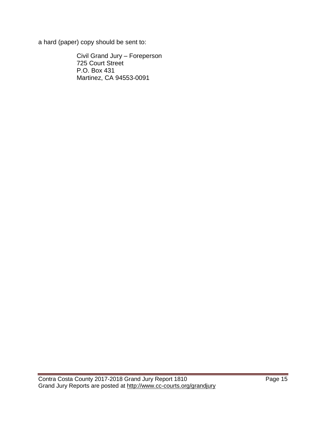a hard (paper) copy should be sent to:

Civil Grand Jury – Foreperson 725 Court Street P.O. Box 431 Martinez, CA 94553-0091